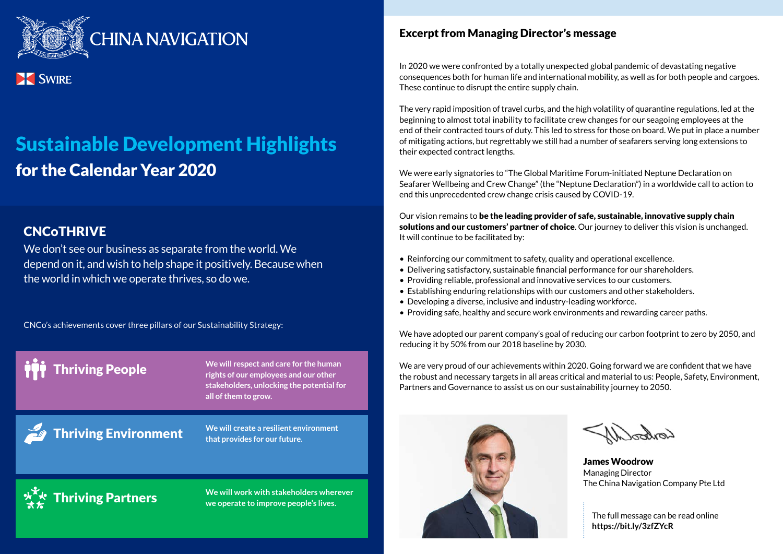

### **XX** SWIRE

# Sustainable Development Highlights for the Calendar Year 2020

### **CNCoTHRIVE**

We don't see our business as separate from the world. We depend on it, and wish to help shape it positively. Because when the world in which we operate thrives, so do we.

CNCo's achievements cover three pillars of our Sustainability Strategy:

**Thriving People** We will respect and care for the human **health of the section rights of our employees and our other stakeholders, unlocking the potential for all of them to grow.**

**Thriving Environment** 

**We will create a resilient environment that provides for our future.**

# Thriving Partners

**We will work with stakeholders wherever we operate to improve people's lives.**

#### Excerpt from Managing Director's message

In 2020 we were confronted by a totally unexpected global pandemic of devastating negative consequences both for human life and international mobility, as well as for both people and cargoes. These continue to disrupt the entire supply chain.

The very rapid imposition of travel curbs, and the high volatility of quarantine regulations, led at the beginning to almost total inability to facilitate crew changes for our seagoing employees at the end of their contracted tours of duty. This led to stress for those on board. We put in place a number of mitigating actions, but regrettably we still had a number of seafarers serving long extensions to their expected contract lengths.

We were early signatories to "The Global Maritime Forum-initiated Neptune Declaration on Seafarer Wellbeing and Crew Change" (the "Neptune Declaration") in a worldwide call to action to end this unprecedented crew change crisis caused by COVID-19.

Our vision remains to be the leading provider of safe, sustainable, innovative supply chain solutions and our customers' partner of choice. Our journey to deliver this vision is unchanged. It will continue to be facilitated by:

- Reinforcing our commitment to safety, quality and operational excellence.
- Delivering satisfactory, sustainable financial performance for our shareholders.
- Providing reliable, professional and innovative services to our customers.
- Establishing enduring relationships with our customers and other stakeholders.
- Developing a diverse, inclusive and industry-leading workforce.
- Providing safe, healthy and secure work environments and rewarding career paths.

We have adopted our parent company's goal of reducing our carbon footprint to zero by 2050, and reducing it by 50% from our 2018 baseline by 2030.

We are very proud of our achievements within 2020. Going forward we are confident that we have the robust and necessary targets in all areas critical and material to us: People, Safety, Environment, Partners and Governance to assist us on our sustainability journey to 2050.



James Woodrow Managing Director The China Navigation Company Pte Ltd

The full message can be read online **https://bit.ly/3zfZYcR**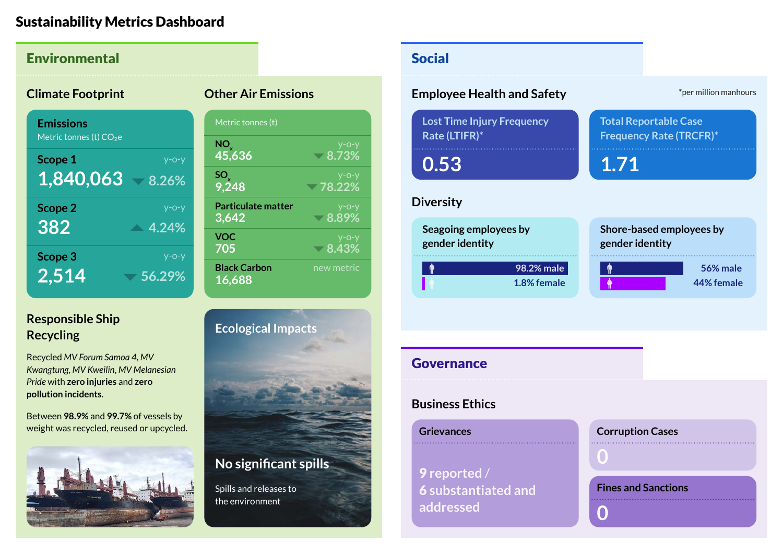#### Sustainability Metrics Dashboard

| <b>Environmental</b>                                    |                                                                                              | <b>Social</b>                                           |
|---------------------------------------------------------|----------------------------------------------------------------------------------------------|---------------------------------------------------------|
| <b>Climate Footprint</b>                                | <b>Other Air Emissions</b>                                                                   | <b>Employee Health and Safety</b>                       |
| <b>Emissions</b><br>Metric tonnes (t) CO <sub>2</sub> e | Metric tonnes (t)                                                                            | <b>Lost Time Injury Frequency</b><br>T<br>Rate (LTIFR)* |
| Scope 1<br>$y$ -o-y<br>1,840,063<br>8.26%               | NO <sub>v</sub><br>$y$ -o-y<br>45,636<br>$-8.73%$<br>$50x$ 9,248<br>$V - O - V$<br>$-78.22%$ | .<br>0.53                                               |
| Scope 2<br>$y$ -o-y<br>382                              | <b>Particulate matter</b><br>$y$ -o-y<br>$-8.89%$<br>3,642                                   | <b>Diversity</b>                                        |
| $\triangle$ 4.24%<br>Scope 3<br>$y$ -o-y                | <b>VOC</b><br>$y$ -o-y<br>705<br>$\sqrt{8.43\%}$                                             | Seagoing employees by<br>S<br>gender identity           |
| 2,514<br>56.29%                                         | <b>Black Carbon</b><br>new metric<br>16,688                                                  | 98.2% male<br>1.8% female                               |

# **Responsible Ship**

Recycled *MV Forum Samoa 4*, *MV Kwangtung*, *MV Kweilin*, *MV Melanesian Pride* with **zero injuries** and **zero pollution incidents**.

Between **98.9%** and **99.7%** of vessels by weight was recycled, reused or upcycled.





# \*per million manhours **Total Reportable Case Frequency Rate (TRCFR)\* 1.71 Shore-based employees by gender identity 56% male 44% female 1.8% female Governance Business Ethics Corruption Cases Grievances**

9 **reported** / 6 **substantiated and addressed**

## **0**

**0**

**Fines and Sanctions**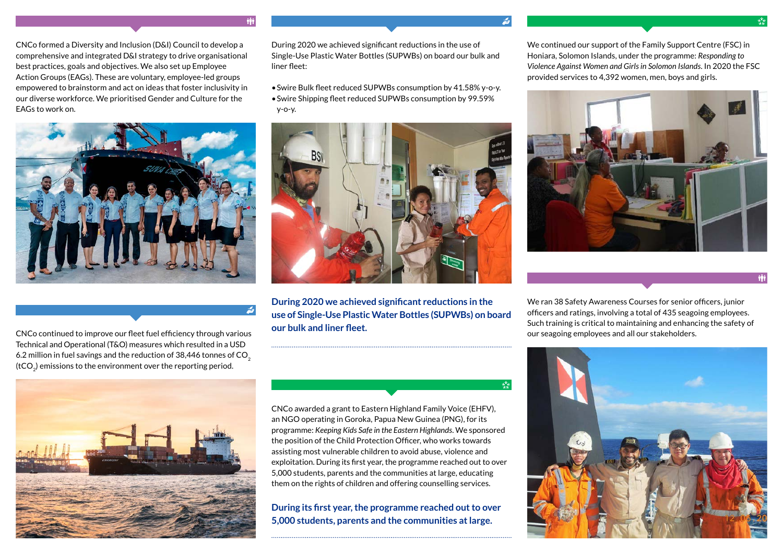CNCo formed a Diversity and Inclusion (D&I) Council to develop a comprehensive and integrated D&I strategy to drive organisational best practices, goals and objectives. We also set up Employee Action Groups (EAGs). These are voluntary, employee-led groups empowered to brainstorm and act on ideas that foster inclusivity in our diverse workforce. We prioritised Gender and Culture for the EAGs to work on.



CNCo continued to improve our fleet fuel efficiency through various our seagoing employees and all our stakeholders. Technical and Operational (T&O) measures which resulted in a USD 6.2 million in fuel savings and the reduction of 38,446 tonnes of  $CO<sub>2</sub>$  $(tCO<sub>2</sub>)$  emissions to the environment over the reporting period.



During 2020 we achieved significant reductions in the use of Single-Use Plastic Water Bottles (SUPWBs) on board our bulk and liner fleet:

- Swire Bulk fleet reduced SUPWBs consumption by 41.58% y-o-y.
- Swire Shipping fleet reduced SUPWBs consumption by 99.59% y-o-y.



**During 2020 we achieved significant reductions in the use of Single-Use Plastic Water Bottles (SUPWBs) on board our bulk and liner fleet.**

CNCo awarded a grant to Eastern Highland Family Voice (EHFV), an NGO operating in Goroka, Papua New Guinea (PNG), for its programme: *Keeping Kids Safe in the Eastern Highlands*. We sponsored the position of the Child Protection Officer, who works towards assisting most vulnerable children to avoid abuse, violence and exploitation. During its first year, the programme reached out to over 5,000 students, parents and the communities at large, educating them on the rights of children and offering counselling services.

**During its first year, the programme reached out to over 5,000 students, parents and the communities at large.**

We continued our support of the Family Support Centre (FSC) in Honiara, Solomon Islands, under the programme: *Responding to Violence Against Women and Girls in Solomon Islands*. In 2020 the FSC provided services to 4,392 women, men, boys and girls.





We ran 38 Safety Awareness Courses for senior officers, junior officers and ratings, involving a total of 435 seagoing employees. Such training is critical to maintaining and enhancing the safety of